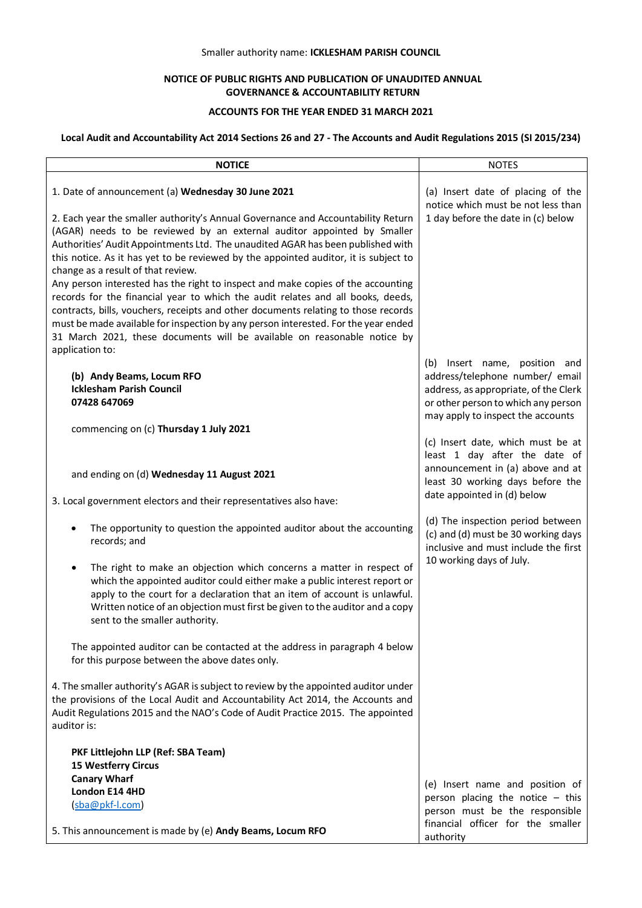## Smaller authority name: **ICKLESHAM PARISH COUNCIL**

# **NOTICE OF PUBLIC RIGHTS AND PUBLICATION OF UNAUDITED ANNUAL GOVERNANCE & ACCOUNTABILITY RETURN**

## **ACCOUNTS FOR THE YEAR ENDED 31 MARCH 2021**

# **Local Audit and Accountability Act 2014 Sections 26 and 27 - The Accounts and Audit Regulations 2015 (SI 2015/234)**

| <b>NOTICE</b>                                                                                                                                                                                                                                                                                                                                                                                                                                  | <b>NOTES</b>                                                                                                     |
|------------------------------------------------------------------------------------------------------------------------------------------------------------------------------------------------------------------------------------------------------------------------------------------------------------------------------------------------------------------------------------------------------------------------------------------------|------------------------------------------------------------------------------------------------------------------|
| 1. Date of announcement (a) Wednesday 30 June 2021                                                                                                                                                                                                                                                                                                                                                                                             | (a) Insert date of placing of the<br>notice which must be not less than                                          |
| 2. Each year the smaller authority's Annual Governance and Accountability Return<br>(AGAR) needs to be reviewed by an external auditor appointed by Smaller<br>Authorities' Audit Appointments Ltd. The unaudited AGAR has been published with<br>this notice. As it has yet to be reviewed by the appointed auditor, it is subject to<br>change as a result of that review.                                                                   | 1 day before the date in (c) below                                                                               |
| Any person interested has the right to inspect and make copies of the accounting<br>records for the financial year to which the audit relates and all books, deeds,<br>contracts, bills, vouchers, receipts and other documents relating to those records<br>must be made available for inspection by any person interested. For the year ended<br>31 March 2021, these documents will be available on reasonable notice by<br>application to: |                                                                                                                  |
|                                                                                                                                                                                                                                                                                                                                                                                                                                                | Insert name, position and<br>(b)                                                                                 |
| (b) Andy Beams, Locum RFO<br><b>Icklesham Parish Council</b>                                                                                                                                                                                                                                                                                                                                                                                   | address/telephone number/ email<br>address, as appropriate, of the Clerk                                         |
| 07428 647069                                                                                                                                                                                                                                                                                                                                                                                                                                   | or other person to which any person                                                                              |
| commencing on (c) Thursday 1 July 2021                                                                                                                                                                                                                                                                                                                                                                                                         | may apply to inspect the accounts                                                                                |
|                                                                                                                                                                                                                                                                                                                                                                                                                                                | (c) Insert date, which must be at<br>least 1 day after the date of                                               |
| and ending on (d) Wednesday 11 August 2021                                                                                                                                                                                                                                                                                                                                                                                                     | announcement in (a) above and at<br>least 30 working days before the                                             |
| 3. Local government electors and their representatives also have:                                                                                                                                                                                                                                                                                                                                                                              | date appointed in (d) below                                                                                      |
| The opportunity to question the appointed auditor about the accounting<br>records; and                                                                                                                                                                                                                                                                                                                                                         | (d) The inspection period between<br>(c) and (d) must be 30 working days<br>inclusive and must include the first |
| The right to make an objection which concerns a matter in respect of<br>٠<br>which the appointed auditor could either make a public interest report or<br>apply to the court for a declaration that an item of account is unlawful.<br>Written notice of an objection must first be given to the auditor and a copy<br>sent to the smaller authority.                                                                                          | 10 working days of July.                                                                                         |
| The appointed auditor can be contacted at the address in paragraph 4 below<br>for this purpose between the above dates only.                                                                                                                                                                                                                                                                                                                   |                                                                                                                  |
| 4. The smaller authority's AGAR is subject to review by the appointed auditor under<br>the provisions of the Local Audit and Accountability Act 2014, the Accounts and<br>Audit Regulations 2015 and the NAO's Code of Audit Practice 2015. The appointed<br>auditor is:                                                                                                                                                                       |                                                                                                                  |
| PKF Littlejohn LLP (Ref: SBA Team)<br>15 Westferry Circus                                                                                                                                                                                                                                                                                                                                                                                      |                                                                                                                  |
| <b>Canary Wharf</b>                                                                                                                                                                                                                                                                                                                                                                                                                            |                                                                                                                  |
| London E14 4HD                                                                                                                                                                                                                                                                                                                                                                                                                                 | (e) Insert name and position of                                                                                  |
| (sba@pkf-I.com)                                                                                                                                                                                                                                                                                                                                                                                                                                | person placing the notice $-$ this<br>person must be the responsible                                             |
| 5. This announcement is made by (e) Andy Beams, Locum RFO                                                                                                                                                                                                                                                                                                                                                                                      | financial officer for the smaller<br>authority                                                                   |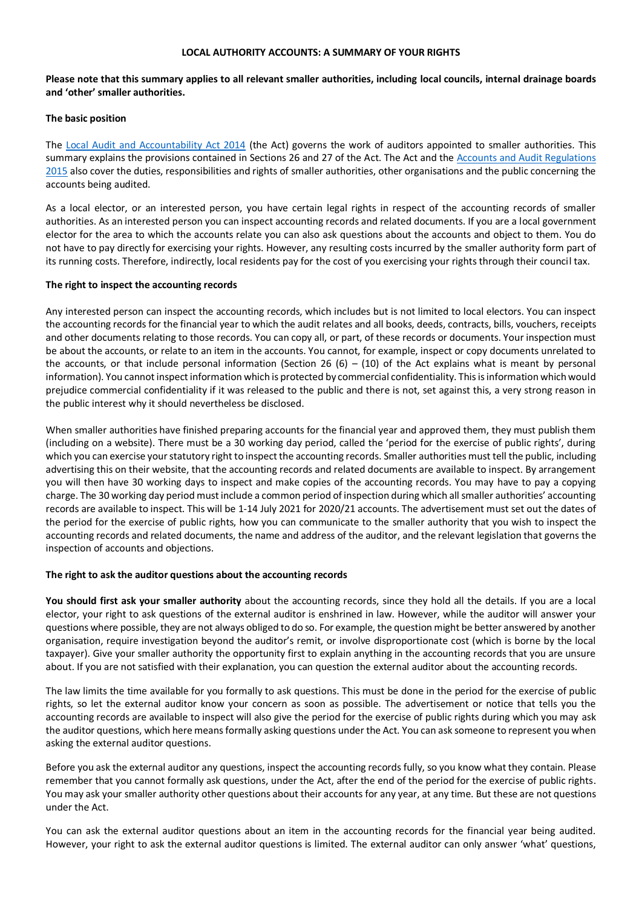### **LOCAL AUTHORITY ACCOUNTS: A SUMMARY OF YOUR RIGHTS**

## **Please note that this summary applies to all relevant smaller authorities, including local councils, internal drainage boards and 'other' smaller authorities.**

#### **The basic position**

The [Local Audit and Accountability Act 2014](http://www.legislation.gov.uk/ukpga/2014/2/contents) (the Act) governs the work of auditors appointed to smaller authorities. This summary explains the provisions contained in Sections 26 and 27 of the Act. The Act and th[e Accounts and Audit Regulations](http://www.legislation.gov.uk/uksi/2015/234/contents/made)  [2015](http://www.legislation.gov.uk/uksi/2015/234/contents/made) also cover the duties, responsibilities and rights of smaller authorities, other organisations and the public concerning the accounts being audited.

As a local elector, or an interested person, you have certain legal rights in respect of the accounting records of smaller authorities. As an interested person you can inspect accounting records and related documents. If you are a local government elector for the area to which the accounts relate you can also ask questions about the accounts and object to them. You do not have to pay directly for exercising your rights. However, any resulting costs incurred by the smaller authority form part of its running costs. Therefore, indirectly, local residents pay for the cost of you exercising your rights through their council tax.

#### **The right to inspect the accounting records**

Any interested person can inspect the accounting records, which includes but is not limited to local electors. You can inspect the accounting records for the financial year to which the audit relates and all books, deeds, contracts, bills, vouchers, receipts and other documents relating to those records. You can copy all, or part, of these records or documents. Your inspection must be about the accounts, or relate to an item in the accounts. You cannot, for example, inspect or copy documents unrelated to the accounts, or that include personal information (Section 26 (6) – (10) of the Act explains what is meant by personal information). You cannot inspect information which is protected by commercial confidentiality. This is information which would prejudice commercial confidentiality if it was released to the public and there is not, set against this, a very strong reason in the public interest why it should nevertheless be disclosed.

When smaller authorities have finished preparing accounts for the financial year and approved them, they must publish them (including on a website). There must be a 30 working day period, called the 'period for the exercise of public rights', during which you can exercise your statutory right to inspect the accounting records. Smaller authorities must tell the public, including advertising this on their website, that the accounting records and related documents are available to inspect. By arrangement you will then have 30 working days to inspect and make copies of the accounting records. You may have to pay a copying charge. The 30 working day period must include a common period of inspection during which all smaller authorities' accounting records are available to inspect. This will be 1-14 July 2021 for 2020/21 accounts. The advertisement must set out the dates of the period for the exercise of public rights, how you can communicate to the smaller authority that you wish to inspect the accounting records and related documents, the name and address of the auditor, and the relevant legislation that governs the inspection of accounts and objections.

#### **The right to ask the auditor questions about the accounting records**

**You should first ask your smaller authority** about the accounting records, since they hold all the details. If you are a local elector, your right to ask questions of the external auditor is enshrined in law. However, while the auditor will answer your questions where possible, they are not always obliged to do so. For example, the question might be better answered by another organisation, require investigation beyond the auditor's remit, or involve disproportionate cost (which is borne by the local taxpayer). Give your smaller authority the opportunity first to explain anything in the accounting records that you are unsure about. If you are not satisfied with their explanation, you can question the external auditor about the accounting records.

The law limits the time available for you formally to ask questions. This must be done in the period for the exercise of public rights, so let the external auditor know your concern as soon as possible. The advertisement or notice that tells you the accounting records are available to inspect will also give the period for the exercise of public rights during which you may ask the auditor questions, which here means formally asking questions under the Act. You can ask someone to represent you when asking the external auditor questions.

Before you ask the external auditor any questions, inspect the accounting records fully, so you know what they contain. Please remember that you cannot formally ask questions, under the Act, after the end of the period for the exercise of public rights. You may ask your smaller authority other questions about their accounts for any year, at any time. But these are not questions under the Act.

You can ask the external auditor questions about an item in the accounting records for the financial year being audited. However, your right to ask the external auditor questions is limited. The external auditor can only answer 'what' questions,